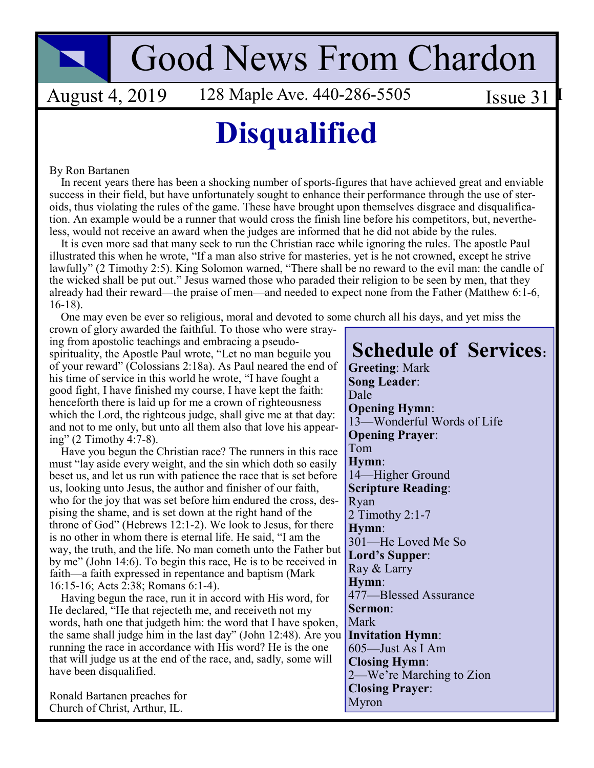# **Good News From Chardon**

**August 4, 2019** 128 Maple Ave. 440-286-5505

Issue  $31$ 

## **Disqualified**

#### By Ron Bartanen

In recent years there has been a shocking number of sports-figures that have achieved great and enviable success in their field, but have unfortunately sought to enhance their performance through the use of steroids, thus violating the rules of the game. These have brought upon themselves disgrace and disqualification. An example would be a runner that would cross the finish line before his competitors, but, nevertheless, would not receive an award when the judges are informed that he did not abide by the rules.

It is even more sad that many seek to run the Christian race while ignoring the rules. The apostle Paul illustrated this when he wrote, "If a man also strive for masteries, yet is he not crowned, except he strive lawfully" (2 Timothy 2:5). King Solomon warned, "There shall be no reward to the evil man: the candle of the wicked shall be put out." Jesus warned those who paraded their religion to be seen by men, that they already had their reward—the praise of men—and needed to expect none from the Father (Matthew 6:1-6,  $16-18$ ).

One may even be ever so religious, moral and devoted to some church all his days, and yet miss the

crown of glory awarded the faithful. To those who were straying from apostolic teachings and embracing a pseudospirituality, the Apostle Paul wrote, "Let no man beguile you of your reward" (Colossians 2:18a). As Paul neared the end of his time of service in this world he wrote, "I have fought a good fight, I have finished my course, I have kept the faith: henceforth there is laid up for me a crown of righteousness which the Lord, the righteous judge, shall give me at that day: and not to me only, but unto all them also that love his appearing" (2 Timothy 4:7-8).

Have you begun the Christian race? The runners in this race must "lay aside every weight, and the sin which doth so easily beset us, and let us run with patience the race that is set before us, looking unto Jesus, the author and finisher of our faith, who for the joy that was set before him endured the cross, despising the shame, and is set down at the right hand of the throne of God" (Hebrews 12:1-2). We look to Jesus, for there is no other in whom there is eternal life. He said, "I am the way, the truth, and the life. No man cometh unto the Father but by me" (John 14:6). To begin this race, He is to be received in faith—a faith expressed in repentance and baptism (Mark 16:15-16; Acts 2:38; Romans 6:1-4).

Having begun the race, run it in accord with His word, for He declared, "He that rejecteth me, and receiveth not my words, hath one that judgeth him: the word that I have spoken, the same shall judge him in the last day" (John 12:48). Are you running the race in accordance with His word? He is the one that will judge us at the end of the race, and, sadly, some will have been disqualified.

Ronald Bartanen preaches for Church of Christ, Arthur, IL.

**Schedule of Services: Greeting: Mark Song Leader:** Dale **Opening Hymn:** 13-Wonderful Words of Life **Opening Prayer:** Tom Hymn: 14-Higher Ground **Scripture Reading:** Ryan 2 Timothy 2:1-7 Hymn: 301-He Loved Me So Lord's Supper: Ray & Larry Hymn: 477—Blessed Assurance Sermon: Mark **Invitation Hymn:** 605—Just As I Am **Closing Hymn:** 2—We're Marching to Zion **Closing Praver:** Myron